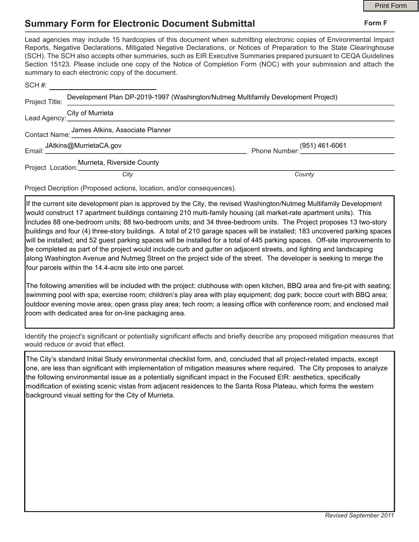## **Summary Form for Electronic Document Submittal**

|                                                       |                                                                                                                                                                                                                                                                                                                                                                                                                                                                                                                                           |                                                       | <b>Print Form</b> |
|-------------------------------------------------------|-------------------------------------------------------------------------------------------------------------------------------------------------------------------------------------------------------------------------------------------------------------------------------------------------------------------------------------------------------------------------------------------------------------------------------------------------------------------------------------------------------------------------------------------|-------------------------------------------------------|-------------------|
| <b>Summary Form for Electronic Document Submittal</b> |                                                                                                                                                                                                                                                                                                                                                                                                                                                                                                                                           |                                                       | Form F            |
|                                                       | Lead agencies may include 15 hardcopies of this document when submitting electronic copies of Environmental Impact<br>Reports, Negative Declarations, Mitigated Negative Declarations, or Notices of Preparation to the State Clearinghouse<br>(SCH). The SCH also accepts other summaries, such as EIR Executive Summaries prepared pursuant to CEQA Guidelines<br>Section 15123. Please include one copy of the Notice of Completion Form (NOC) with your submission and attach the<br>summary to each electronic copy of the document. |                                                       |                   |
|                                                       |                                                                                                                                                                                                                                                                                                                                                                                                                                                                                                                                           |                                                       |                   |
| Project Title:                                        | Development Plan DP-2019-1997 (Washington/Nutmeg Multifamily Development Project)                                                                                                                                                                                                                                                                                                                                                                                                                                                         |                                                       |                   |
|                                                       | Lead Agency: City of Murrieta<br>Lead Agency: <u>City of Murrieta</u>                                                                                                                                                                                                                                                                                                                                                                                                                                                                     |                                                       |                   |
|                                                       | Contact Name: James Atkins, Associate Planner                                                                                                                                                                                                                                                                                                                                                                                                                                                                                             |                                                       |                   |
|                                                       |                                                                                                                                                                                                                                                                                                                                                                                                                                                                                                                                           | (951) 461-6061<br>Phone Number: <u>(1951) marries</u> |                   |
|                                                       | Murrieta, Riverside County<br>City                                                                                                                                                                                                                                                                                                                                                                                                                                                                                                        |                                                       |                   |
|                                                       |                                                                                                                                                                                                                                                                                                                                                                                                                                                                                                                                           | County                                                |                   |
|                                                       | $\mathbf{r}$ , and the contract of the contract of the contract of the contract of the contract of the contract of the contract of the contract of the contract of the contract of the contract of the contract of the contract o                                                                                                                                                                                                                                                                                                         |                                                       |                   |

Project Decription (Proposed actions, location, and/or consequences).

If the current site development plan is approved by the City, the revised Washington/Nutmeg Multifamily Development would construct 17 apartment buildings containing 210 multi-family housing (all market-rate apartment units). This includes 88 one-bedroom units; 88 two-bedroom units; and 34 three-bedroom units. The Project proposes 13 two-story buildings and four (4) three-story buildings. A total of 210 garage spaces will be installed; 183 uncovered parking spaces will be installed; and 52 guest parking spaces will be installed for a total of 445 parking spaces. Off-site improvements to be completed as part of the project would include curb and gutter on adjacent streets, and lighting and landscaping along Washington Avenue and Nutmeg Street on the project side of the street. The developer is seeking to merge the four parcels within the 14.4-acre site into one parcel.

The following amenities will be included with the project: clubhouse with open kitchen, BBQ area and fire-pit with seating; swimming pool with spa; exercise room; children's play area with play equipment; dog park; bocce court with BBQ area; outdoor evening movie area; open grass play area; tech room; a leasing office with conference room; and enclosed mail room with dedicated area for on-line packaging area.

Identify the project's signifcant or potentially signifcant effects and briefy describe any proposed mitigation measures that would reduce or avoid that effect.

The City's standard Initial Study environmental checklist form, and, concluded that all project-related impacts, except one, are less than significant with implementation of mitigation measures where required. The City proposes to analyze the following environmental issue as a potentially significant impact in the Focused EIR: aesthetics, specifically modification of existing scenic vistas from adjacent residences to the Santa Rosa Plateau, which forms the western background visual setting for the City of Murrieta.